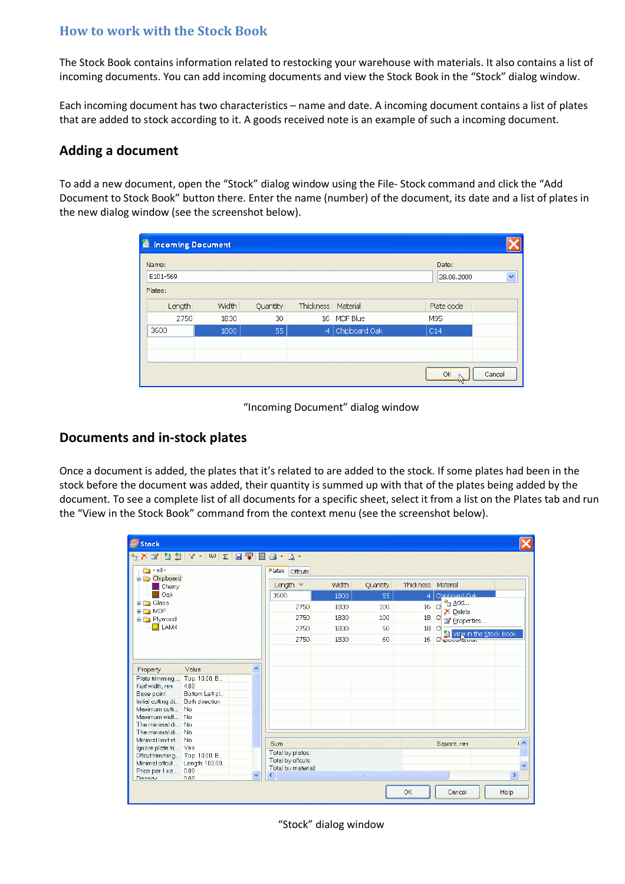## **How to work with the Stock Book**

The Stock Book contains information related to restocking your warehouse with materials. It also contains a list of incoming documents. You can add incoming documents and view the Stock Book in the "Stock" dialog window.

Each incoming document has two characteristics – name and date. A incoming document contains a list of plates that are added to stock according to it. A goods received note is an example of such a incoming document.

## **Adding a document**

To add a new document, open the "Stock" dialog window using the File- Stock command and click the "Add Document to Stock Book" button there. Enter the name (number) of the document, its date and a list of plates in the new dialog window (see the screenshot below).

| 首 | <b>Incoming Document</b> |              |              |                                          |               |            |  |  |  |  |  |  |
|---|--------------------------|--------------|--------------|------------------------------------------|---------------|------------|--|--|--|--|--|--|
|   | Name:                    | Date:        |              |                                          |               |            |  |  |  |  |  |  |
|   | E101-569                 | 28.08.2009   | $\checkmark$ |                                          |               |            |  |  |  |  |  |  |
|   | Plates:                  |              |              |                                          |               |            |  |  |  |  |  |  |
|   | Length                   | <b>Width</b> |              | <b>Thickness</b><br>Quantity<br>Material |               | Plate code |  |  |  |  |  |  |
|   | 2750                     | 1830         | 30           |                                          | 16 MDF Blue   | M95        |  |  |  |  |  |  |
|   | 3600                     | 1800         | 55           | $\overline{4}$                           | Chipboard Oak | C14        |  |  |  |  |  |  |
|   |                          |              |              |                                          |               |            |  |  |  |  |  |  |
|   |                          |              |              |                                          |               |            |  |  |  |  |  |  |
|   | Cancel<br>ОК             |              |              |                                          |               |            |  |  |  |  |  |  |

"Incoming Document" dialog window

## **Documents and in-stock plates**

Once a document is added, the plates that it's related to are added to the stock. If some plates had been in the stock before the document was added, their quantity is summed up with that of the plates being added by the document. To see a complete list of all documents for a specific sheet, select it from a list on the Plates tab and run the "View in the Stock Book" command from the context menu (see the screenshot below).

| Stock                                                                                                                                                                                                                                                                                                                                                                                                                                                              |                            |                          |       |            |                  |                                     |    |
|--------------------------------------------------------------------------------------------------------------------------------------------------------------------------------------------------------------------------------------------------------------------------------------------------------------------------------------------------------------------------------------------------------------------------------------------------------------------|----------------------------|--------------------------|-------|------------|------------------|-------------------------------------|----|
| $\mathbb{C}^1 \times \mathbb{C}^2 \text{ is a } \mathbb{C}^1 \times \mathbb{C}^2 \text{ with } \mathbb{C}^1 \times \mathbb{C}^2 \text{ with } \mathbb{C}^1 \times \mathbb{C}^2 \text{ with } \mathbb{C}^1 \times \mathbb{C}^2 \text{ with } \mathbb{C}^1 \times \mathbb{C}^2 \text{ with } \mathbb{C}^1 \times \mathbb{C}^2 \text{ with } \mathbb{C}^1 \times \mathbb{C}^2 \text{ with } \mathbb{C}^1 \times \mathbb{C}^2 \text{ with } \mathbb{C}^1 \times \math$ |                            |                          |       |            |                  |                                     |    |
| $\Box$ - all -                                                                                                                                                                                                                                                                                                                                                                                                                                                     |                            | Plates<br><b>Offcuts</b> |       |            |                  |                                     |    |
| Chipboard<br>$\blacksquare$ Cherry                                                                                                                                                                                                                                                                                                                                                                                                                                 |                            | Length $\equiv$          | Width | Quantity   | <b>Thickness</b> | Material                            |    |
| Oak<br><b>E-F</b> Glass<br><b>E</b> MDF<br><b>E</b> Plywood                                                                                                                                                                                                                                                                                                                                                                                                        |                            | 3600                     | 1800  | 55         | 4                | Chinhoard Oak                       |    |
|                                                                                                                                                                                                                                                                                                                                                                                                                                                                    |                            | 2750                     | 1830  | 100        | 16               | <sup>e</sup> ⊟ <u>A</u> dd…<br>d    |    |
|                                                                                                                                                                                                                                                                                                                                                                                                                                                                    |                            | 2750                     | 1830  | 100        | 18 <sup>°</sup>  | $\times$ Delete                     |    |
|                                                                                                                                                                                                                                                                                                                                                                                                                                                                    |                            |                          |       |            |                  | d<br>Properties                     |    |
| $\Box$ Lam4                                                                                                                                                                                                                                                                                                                                                                                                                                                        |                            | 2750                     | 1830  | 50         | 18               | <b>CI</b><br>View in the Stock Book |    |
|                                                                                                                                                                                                                                                                                                                                                                                                                                                                    |                            | 2750                     | 1830  | 60         | 16               | Chippoort@ook                       |    |
|                                                                                                                                                                                                                                                                                                                                                                                                                                                                    |                            |                          |       |            |                  |                                     |    |
|                                                                                                                                                                                                                                                                                                                                                                                                                                                                    |                            |                          |       |            |                  |                                     |    |
| Value<br>Property                                                                                                                                                                                                                                                                                                                                                                                                                                                  | $\boldsymbol{\mathcal{N}}$ |                          |       |            |                  |                                     |    |
| Plate trimming<br>Top: 10.00; B                                                                                                                                                                                                                                                                                                                                                                                                                                    |                            |                          |       |            |                  |                                     |    |
| 4.00<br>Kerf width, MM                                                                                                                                                                                                                                                                                                                                                                                                                                             |                            |                          |       |            |                  |                                     |    |
| Bottom Left pl<br>Base point                                                                                                                                                                                                                                                                                                                                                                                                                                       |                            |                          |       |            |                  |                                     |    |
| Initial cutting di Both direction                                                                                                                                                                                                                                                                                                                                                                                                                                  |                            |                          |       |            |                  |                                     |    |
| Maximum cutti No                                                                                                                                                                                                                                                                                                                                                                                                                                                   |                            |                          |       |            |                  |                                     |    |
| Maximum widt No                                                                                                                                                                                                                                                                                                                                                                                                                                                    |                            |                          |       |            |                  |                                     |    |
| The minimal di No                                                                                                                                                                                                                                                                                                                                                                                                                                                  |                            |                          |       |            |                  |                                     |    |
| The minimal di No                                                                                                                                                                                                                                                                                                                                                                                                                                                  |                            |                          |       |            |                  |                                     |    |
| Minimal limit st No                                                                                                                                                                                                                                                                                                                                                                                                                                                |                            |                          |       |            |                  |                                     | (  |
| Ignore plate tri Yes                                                                                                                                                                                                                                                                                                                                                                                                                                               |                            | Sum                      |       |            |                  | Square, MM                          |    |
| Offcut trimming Top: 10.00; B                                                                                                                                                                                                                                                                                                                                                                                                                                      |                            | Total by plates:         |       |            |                  |                                     |    |
| Minimal offcut Length: 100.00                                                                                                                                                                                                                                                                                                                                                                                                                                      |                            | Total by offcuts:        |       |            |                  |                                     |    |
| Price per 1 KB 0.00                                                                                                                                                                                                                                                                                                                                                                                                                                                |                            | Total by material:       |       |            |                  |                                     |    |
|                                                                                                                                                                                                                                                                                                                                                                                                                                                                    | $\checkmark$               |                          |       | <b>HIL</b> |                  |                                     | ×. |

"Stock" dialog window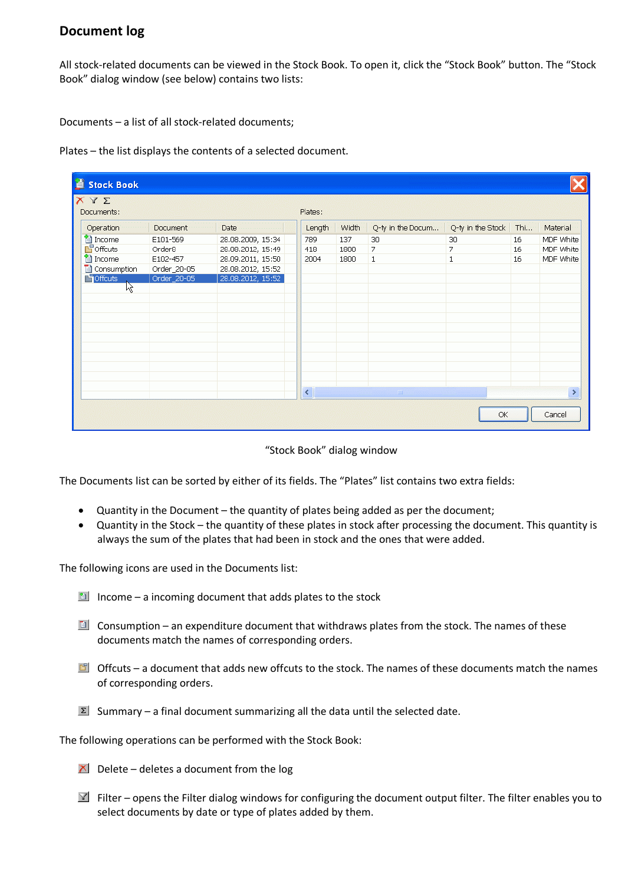## **Document log**

All stock-related documents can be viewed in the Stock Book. To open it, click the "Stock Book" button. The "Stock Book" dialog window (see below) contains two lists:

Documents – a list of all stock-related documents;

Plates – the list displays the contents of a selected document.

| <b>Stock Book</b>                  |                                |                   |                                                   |              |                            |                   |      |               |
|------------------------------------|--------------------------------|-------------------|---------------------------------------------------|--------------|----------------------------|-------------------|------|---------------|
| XYZ<br>Documents:                  |                                |                   | Plates:                                           |              |                            |                   |      |               |
| Operation                          | Document :                     | <b>Date</b><br>.  | Length                                            | <b>Width</b> | Q-ty in the Docum          | Q-ty in the Stock | Thin | Material      |
|                                    |                                |                   |                                                   |              | 30                         | 30                |      |               |
| <sup>2</sup> income<br>$F$ Offcuts | E101-569<br>Order <sub>8</sub> | 28.08.2009, 15:34 | 789                                               | 137          | 7                          | 7                 | 16   | MDF White     |
|                                    |                                | 28.08.2012, 15:49 | 418                                               | 1800         |                            |                   | 16   | MDF White     |
| <sup>2</sup> Income                | E102-457                       | 28.09.2011, 15:50 | 2004                                              | 1800         | $\mathbf{1}$               | $\mathbf{1}$      | 16   | MDF White     |
| Consumption                        | Order_20-05                    | 28.08.2012, 15:52 |                                                   |              |                            |                   |      |               |
| <b>Hoffcuts</b>                    | Order_20-05                    | 28.08.2012, 15:52 |                                                   |              |                            |                   |      |               |
| 12                                 |                                |                   |                                                   |              |                            |                   |      |               |
|                                    |                                |                   |                                                   |              |                            |                   |      |               |
|                                    |                                |                   |                                                   |              |                            |                   |      |               |
|                                    |                                |                   |                                                   |              |                            |                   |      |               |
|                                    |                                |                   |                                                   |              |                            |                   |      |               |
|                                    |                                |                   |                                                   |              |                            |                   |      |               |
|                                    |                                |                   |                                                   |              |                            |                   |      |               |
|                                    |                                |                   |                                                   |              |                            |                   |      |               |
|                                    |                                |                   |                                                   |              |                            |                   |      |               |
|                                    |                                |                   |                                                   |              |                            |                   |      |               |
|                                    |                                |                   |                                                   |              |                            |                   |      |               |
|                                    |                                |                   | $\left\vert \left\langle \right\vert \right\vert$ |              | $\parallel$ HH $\parallel$ |                   |      | $\rightarrow$ |
|                                    |                                |                   |                                                   |              |                            |                   |      |               |
|                                    |                                |                   |                                                   |              |                            | OK                |      | Cancel        |

"Stock Book" dialog window

The Documents list can be sorted by either of its fields. The "Plates" list contains two extra fields:

- Quantity in the Document the quantity of plates being added as per the document;
- Quantity in the Stock the quantity of these plates in stock after processing the document. This quantity is always the sum of the plates that had been in stock and the ones that were added.

The following icons are used in the Documents list:

- Income a incoming document that adds plates to the stock
- $\Box$  Consumption an expenditure document that withdraws plates from the stock. The names of these documents match the names of corresponding orders.
- $\Box$  Offcuts a document that adds new offcuts to the stock. The names of these documents match the names of corresponding orders.
- $\Sigma$  Summary a final document summarizing all the data until the selected date.

The following operations can be performed with the Stock Book:

- $\Delta$  Delete deletes a document from the log
- $\mathbb{F}$  Filter opens the Filter dialog windows for configuring the document output filter. The filter enables you to select documents by date or type of plates added by them.